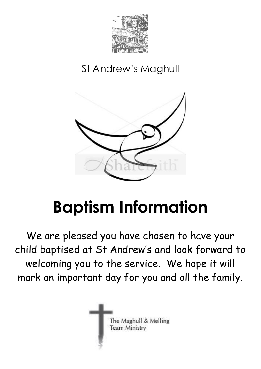

# St Andrew's Maghull



# **Baptism Information**

We are pleased you have chosen to have your child baptised at St Andrew's and look forward to welcoming you to the service. We hope it will mark an important day for you and all the family.

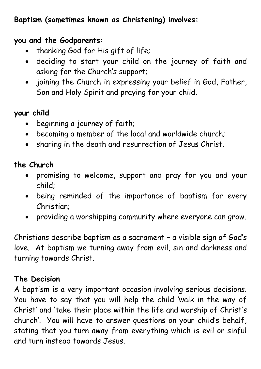# **Baptism (sometimes known as Christening) involves:**

#### **you and the Godparents:**

- thanking God for His gift of life;
- deciding to start your child on the journey of faith and asking for the Church's support;
- joining the Church in expressing your belief in God, Father, Son and Holy Spirit and praying for your child.

## **your child**

- beginning a journey of faith;
- becoming a member of the local and worldwide church;
- sharing in the death and resurrection of Jesus Christ.

# **the Church**

- promising to welcome, support and pray for you and your child;
- being reminded of the importance of baptism for every Christian;
- providing a worshipping community where everyone can grow.

Christians describe baptism as a sacrament – a visible sign of God's love. At baptism we turning away from evil, sin and darkness and turning towards Christ.

#### **The Decision**

A baptism is a very important occasion involving serious decisions. You have to say that you will help the child 'walk in the way of Christ' and 'take their place within the life and worship of Christ's church'. You will have to answer questions on your child's behalf, stating that you turn away from everything which is evil or sinful and turn instead towards Jesus.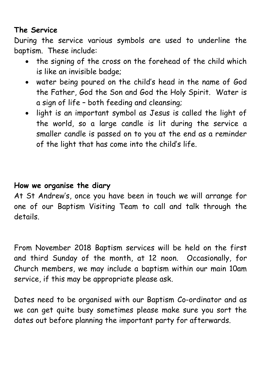# **The Service**

During the service various symbols are used to underline the baptism. These include:

- the signing of the cross on the forehead of the child which is like an invisible badge;
- water being poured on the child's head in the name of God the Father, God the Son and God the Holy Spirit. Water is a sign of life – both feeding and cleansing;
- light is an important symbol as Jesus is called the light of the world, so a large candle is lit during the service a smaller candle is passed on to you at the end as a reminder of the light that has come into the child's life.

#### **How we organise the diary**

At St Andrew's, once you have been in touch we will arrange for one of our Baptism Visiting Team to call and talk through the details.

From November 2018 Baptism services will be held on the first and third Sunday of the month, at 12 noon. Occasionally, for Church members, we may include a baptism within our main 10am service, if this may be appropriate please ask.

Dates need to be organised with our Baptism Co-ordinator and as we can get quite busy sometimes please make sure you sort the dates out before planning the important party for afterwards.